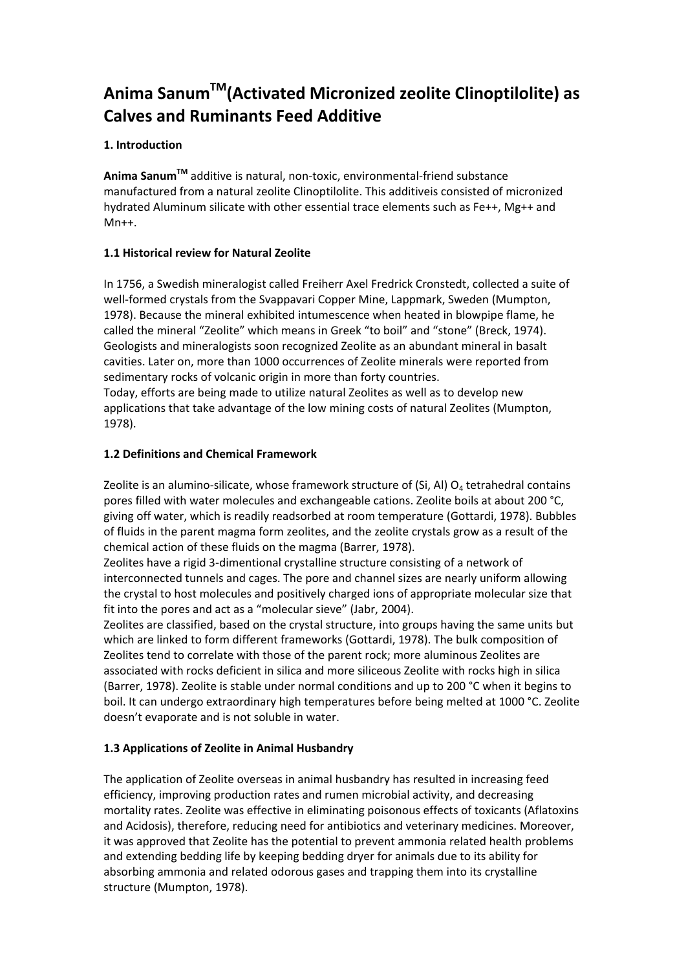# **Anima SanumTM(Activated Micronized zeolite Clinoptilolite) as Calves and Ruminants Feed Additive**

# **1. Introduction**

**Anima SanumTM** additive is natural, non-toxic, environmental-friend substance manufactured from a natural zeolite Clinoptilolite. This additiveis consisted of micronized hydrated Aluminum silicate with other essential trace elements such as Fe++, Mg++ and Mn++.

# **1.1 Historical review for Natural Zeolite**

In 1756, a Swedish mineralogist called Freiherr Axel Fredrick Cronstedt, collected a suite of well-formed crystals from the Svappavari Copper Mine, Lappmark, Sweden (Mumpton, 1978). Because the mineral exhibited intumescence when heated in blowpipe flame, he called the mineral "Zeolite" which means in Greek "to boil" and "stone" (Breck, 1974). Geologists and mineralogists soon recognized Zeolite as an abundant mineral in basalt cavities. Later on, more than 1000 occurrences of Zeolite minerals were reported from sedimentary rocks of volcanic origin in more than forty countries.

Today, efforts are being made to utilize natural Zeolites as well as to develop new applications that take advantage of the low mining costs of natural Zeolites (Mumpton, 1978).

# **1.2 Definitions and Chemical Framework**

Zeolite is an alumino-silicate, whose framework structure of (Si, Al)  $O<sub>4</sub>$  tetrahedral contains pores filled with water molecules and exchangeable cations. Zeolite boils at about 200 °C, giving off water, which is readily readsorbed at room temperature (Gottardi, 1978). Bubbles of fluids in the parent magma form zeolites, and the zeolite crystals grow as a result of the chemical action of these fluids on the magma (Barrer, 1978).

Zeolites have a rigid 3-dimentional crystalline structure consisting of a network of interconnected tunnels and cages. The pore and channel sizes are nearly uniform allowing the crystal to host molecules and positively charged ions of appropriate molecular size that fit into the pores and act as a "molecular sieve" (Jabr, 2004).

Zeolites are classified, based on the crystal structure, into groups having the same units but which are linked to form different frameworks (Gottardi, 1978). The bulk composition of Zeolites tend to correlate with those of the parent rock; more aluminous Zeolites are associated with rocks deficient in silica and more siliceous Zeolite with rocks high in silica (Barrer, 1978). Zeolite is stable under normal conditions and up to 200 °C when it begins to boil. It can undergo extraordinary high temperatures before being melted at 1000 °C. Zeolite doesn't evaporate and is not soluble in water.

# **1.3 Applications of Zeolite in Animal Husbandry**

The application of Zeolite overseas in animal husbandry has resulted in increasing feed efficiency, improving production rates and rumen microbial activity, and decreasing mortality rates. Zeolite was effective in eliminating poisonous effects of toxicants (Aflatoxins and Acidosis), therefore, reducing need for antibiotics and veterinary medicines. Moreover, it was approved that Zeolite has the potential to prevent ammonia related health problems and extending bedding life by keeping bedding dryer for animals due to its ability for absorbing ammonia and related odorous gases and trapping them into its crystalline structure (Mumpton, 1978).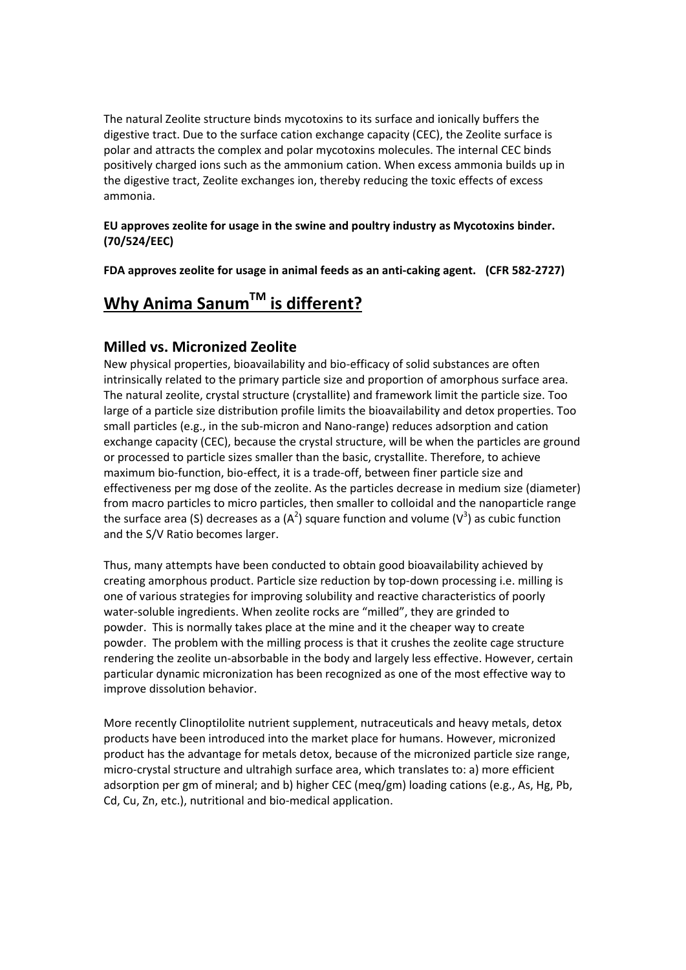The natural Zeolite structure binds mycotoxins to its surface and ionically buffers the digestive tract. Due to the surface cation exchange capacity (CEC), the Zeolite surface is polar and attracts the complex and polar mycotoxins molecules. The internal CEC binds positively charged ions such as the ammonium cation. When excess ammonia builds up in the digestive tract, Zeolite exchanges ion, thereby reducing the toxic effects of excess ammonia.

#### **EU approves zeolite for usage in the swine and poultry industry as Mycotoxins binder. (70/524/EEC)**

**FDA approves zeolite for usage in animal feeds as an anti‐caking agent. (CFR 582‐2727)**

# **Why Anima SanumTM is different?**

# **Milled vs. Micronized Zeolite**

New physical properties, bioavailability and bio-efficacy of solid substances are often intrinsically related to the primary particle size and proportion of amorphous surface area. The natural zeolite, crystal structure (crystallite) and framework limit the particle size. Too large of a particle size distribution profile limits the bioavailability and detox properties. Too small particles (e.g., in the sub-micron and Nano-range) reduces adsorption and cation exchange capacity (CEC), because the crystal structure, will be when the particles are ground or processed to particle sizes smaller than the basic, crystallite. Therefore, to achieve maximum bio-function, bio-effect, it is a trade-off, between finer particle size and effectiveness per mg dose of the zeolite. As the particles decrease in medium size (diameter) from macro particles to micro particles, then smaller to colloidal and the nanoparticle range the surface area (S) decreases as a (A<sup>2</sup>) square function and volume (V<sup>3</sup>) as cubic function and the S/V Ratio becomes larger.

Thus, many attempts have been conducted to obtain good bioavailability achieved by creating amorphous product. Particle size reduction by top-down processing i.e. milling is one of various strategies for improving solubility and reactive characteristics of poorly water-soluble ingredients. When zeolite rocks are "milled", they are grinded to powder. This is normally takes place at the mine and it the cheaper way to create powder. The problem with the milling process is that it crushes the zeolite cage structure rendering the zeolite un-absorbable in the body and largely less effective. However, certain particular dynamic micronization has been recognized as one of the most effective way to improve dissolution behavior.

More recently Clinoptilolite nutrient supplement, nutraceuticals and heavy metals, detox products have been introduced into the market place for humans. However, micronized product has the advantage for metals detox, because of the micronized particle size range, micro-crystal structure and ultrahigh surface area, which translates to: a) more efficient adsorption per gm of mineral; and b) higher CEC (meq/gm) loading cations (e.g., As, Hg, Pb, Cd, Cu, Zn, etc.), nutritional and bio-medical application.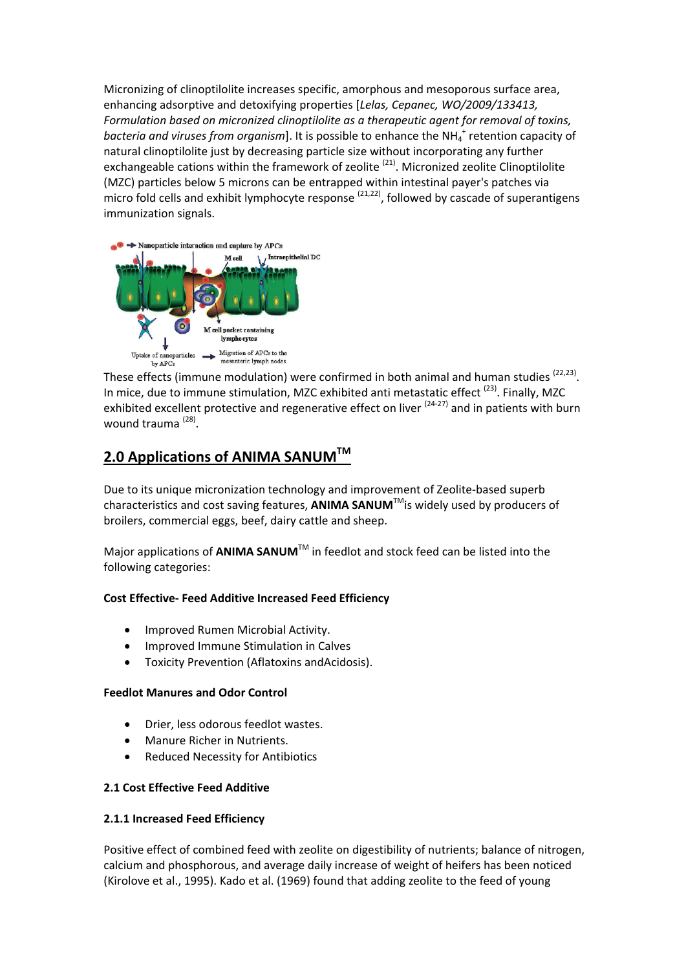Micronizing of clinoptilolite increases specific, amorphous and mesoporous surface area, enhancing adsorptive and detoxifying properties [*Lelas, Cepanec, WO/2009/133413, Formulation based on micronized clinoptilolite as a therapeutic agent for removal of toxins,* bacteria and viruses from organism]. It is possible to enhance the NH<sub>4</sub><sup>+</sup> retention capacity of natural clinoptilolite just by decreasing particle size without incorporating any further exchangeable cations within the framework of zeolite  $(21)$ . Micronized zeolite Clinoptilolite (MZC) particles below 5 microns can be entrapped within intestinal payer's patches via micro fold cells and exhibit lymphocyte response  $(21,22)$ , followed by cascade of superantigens immunization signals.



These effects (immune modulation) were confirmed in both animal and human studies  $(22,23)$ . In mice, due to immune stimulation, MZC exhibited anti metastatic effect  $(23)$ . Finally, MZC exhibited excellent protective and regenerative effect on liver  $(24-27)$  and in patients with burn wound trauma (28).

# **2.0 Applications of ANIMA SANUMTM**

Due to its unique micronization technology and improvement of Zeolite-based superb characteristics and cost saving features, **ANIMA SANUM**TMis widely used by producers of broilers, commercial eggs, beef, dairy cattle and sheep.

Major applications of **ANIMA SANUM**TM in feedlot and stock feed can be listed into the following categories:

#### **Cost Effective‐ Feed Additive Increased Feed Efficiency**

- Improved Rumen Microbial Activity.
- Improved Immune Stimulation in Calves
- Toxicity Prevention (Aflatoxins andAcidosis).

#### **Feedlot Manures and Odor Control**

- Drier, less odorous feedlot wastes.
- Manure Richer in Nutrients.
- Reduced Necessity for Antibiotics

#### **2.1 Cost Effective Feed Additive**

#### **2.1.1 Increased Feed Efficiency**

Positive effect of combined feed with zeolite on digestibility of nutrients; balance of nitrogen, calcium and phosphorous, and average daily increase of weight of heifers has been noticed (Kirolove et al., 1995). Kado et al. (1969) found that adding zeolite to the feed of young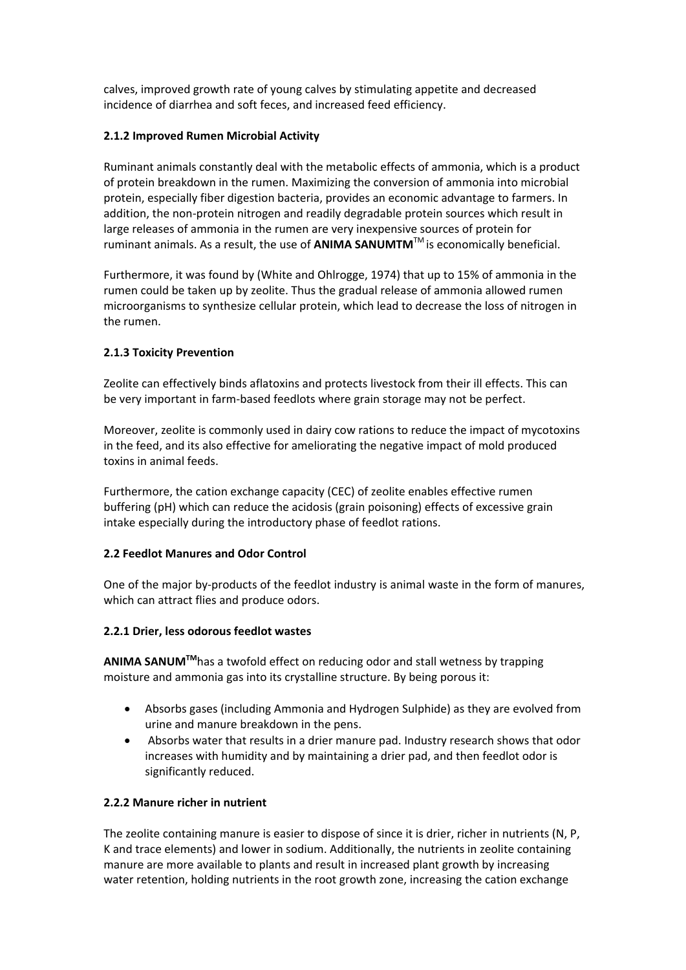calves, improved growth rate of young calves by stimulating appetite and decreased incidence of diarrhea and soft feces, and increased feed efficiency.

#### **2.1.2 Improved Rumen Microbial Activity**

Ruminant animals constantly deal with the metabolic effects of ammonia, which is a product of protein breakdown in the rumen. Maximizing the conversion of ammonia into microbial protein, especially fiber digestion bacteria, provides an economic advantage to farmers. In addition, the non-protein nitrogen and readily degradable protein sources which result in large releases of ammonia in the rumen are very inexpensive sources of protein for ruminant animals. As a result, the use of **ANIMA SANUMTM**TM is economically beneficial.

Furthermore, it was found by (White and Ohlrogge, 1974) that up to 15% of ammonia in the rumen could be taken up by zeolite. Thus the gradual release of ammonia allowed rumen microorganisms to synthesize cellular protein, which lead to decrease the loss of nitrogen in the rumen.

#### **2.1.3 Toxicity Prevention**

Zeolite can effectively binds aflatoxins and protects livestock from their ill effects. This can be very important in farm-based feedlots where grain storage may not be perfect.

Moreover, zeolite is commonly used in dairy cow rations to reduce the impact of mycotoxins in the feed, and its also effective for ameliorating the negative impact of mold produced toxins in animal feeds.

Furthermore, the cation exchange capacity (CEC) of zeolite enables effective rumen buffering (pH) which can reduce the acidosis (grain poisoning) effects of excessive grain intake especially during the introductory phase of feedlot rations.

#### **2.2 Feedlot Manures and Odor Control**

One of the major by-products of the feedlot industry is animal waste in the form of manures, which can attract flies and produce odors.

#### **2.2.1 Drier, less odorous feedlot wastes**

**ANIMA SANUMTM**has a twofold effect on reducing odor and stall wetness by trapping moisture and ammonia gas into its crystalline structure. By being porous it:

- Absorbs gases (including Ammonia and Hydrogen Sulphide) as they are evolved from urine and manure breakdown in the pens.
- Absorbs water that results in a drier manure pad. Industry research shows that odor increases with humidity and by maintaining a drier pad, and then feedlot odor is significantly reduced.

#### **2.2.2 Manure richer in nutrient**

The zeolite containing manure is easier to dispose of since it is drier, richer in nutrients (N, P, K and trace elements) and lower in sodium. Additionally, the nutrients in zeolite containing manure are more available to plants and result in increased plant growth by increasing water retention, holding nutrients in the root growth zone, increasing the cation exchange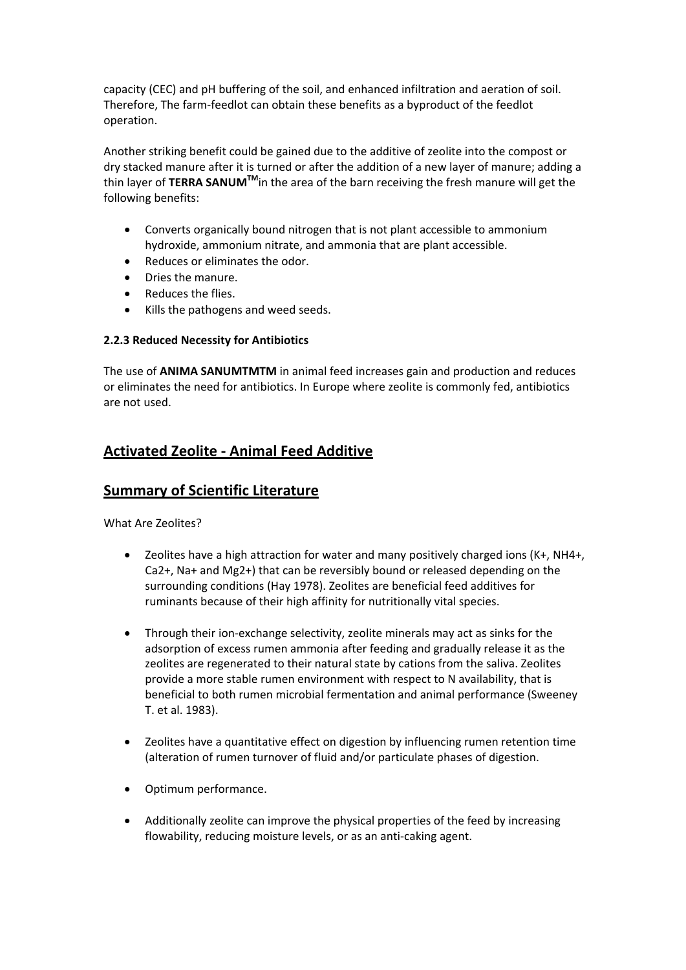capacity (CEC) and pH buffering of the soil, and enhanced infiltration and aeration of soil. Therefore, The farm-feedlot can obtain these benefits as a byproduct of the feedlot operation.

Another striking benefit could be gained due to the additive of zeolite into the compost or dry stacked manure after it is turned or after the addition of a new layer of manure; adding a thin layer of **TERRA SANUMTM**in the area of the barn receiving the fresh manure will get the following benefits:

- Converts organically bound nitrogen that is not plant accessible to ammonium hydroxide, ammonium nitrate, and ammonia that are plant accessible.
- Reduces or eliminates the odor.
- Dries the manure.
- Reduces the flies.
- Kills the pathogens and weed seeds.

#### **2.2.3 Reduced Necessity for Antibiotics**

The use of **ANIMA SANUMTMTM** in animal feed increases gain and production and reduces or eliminates the need for antibiotics. In Europe where zeolite is commonly fed, antibiotics are not used.

# **Activated Zeolite ‐ Animal Feed Additive**

# **Summary of Scientific Literature**

What Are Zeolites?

- Zeolites have a high attraction for water and many positively charged ions (K+, NH4+, Ca2+, Na+ and Mg2+) that can be reversibly bound or released depending on the surrounding conditions (Hay 1978). Zeolites are beneficial feed additives for ruminants because of their high affinity for nutritionally vital species.
- Through their ion-exchange selectivity, zeolite minerals may act as sinks for the adsorption of excess rumen ammonia after feeding and gradually release it as the zeolites are regenerated to their natural state by cations from the saliva. Zeolites provide a more stable rumen environment with respect to N availability, that is beneficial to both rumen microbial fermentation and animal performance (Sweeney T. et al. 1983).
- Zeolites have a quantitative effect on digestion by influencing rumen retention time (alteration of rumen turnover of fluid and/or particulate phases of digestion.
- Optimum performance.
- Additionally zeolite can improve the physical properties of the feed by increasing flowability, reducing moisture levels, or as an anti-caking agent.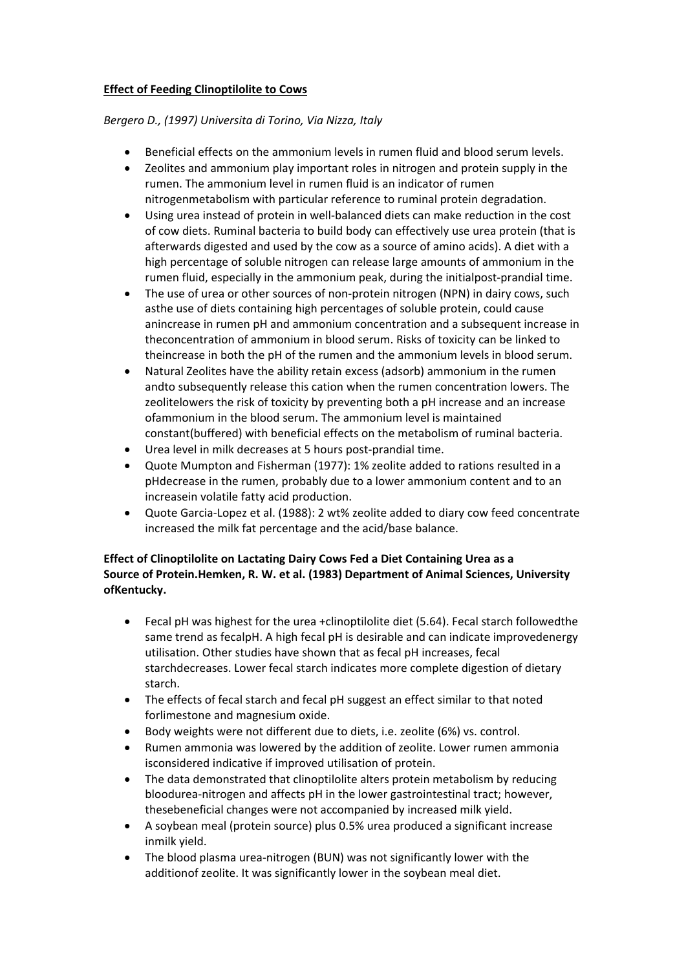#### **Effect of Feeding Clinoptilolite to Cows**

#### *Bergero D., (1997) Universita di Torino, Via Nizza, Italy*

- Beneficial effects on the ammonium levels in rumen fluid and blood serum levels.
- Zeolites and ammonium play important roles in nitrogen and protein supply in the rumen. The ammonium level in rumen fluid is an indicator of rumen nitrogenmetabolism with particular reference to ruminal protein degradation.
- Using urea instead of protein in well-balanced diets can make reduction in the cost of cow diets. Ruminal bacteria to build body can effectively use urea protein (that is afterwards digested and used by the cow as a source of amino acids). A diet with a high percentage of soluble nitrogen can release large amounts of ammonium in the rumen fluid, especially in the ammonium peak, during the initialpost-prandial time.
- The use of urea or other sources of non-protein nitrogen (NPN) in dairy cows, such asthe use of diets containing high percentages of soluble protein, could cause anincrease in rumen pH and ammonium concentration and a subsequent increase in theconcentration of ammonium in blood serum. Risks of toxicity can be linked to theincrease in both the pH of the rumen and the ammonium levels in blood serum.
- Natural Zeolites have the ability retain excess (adsorb) ammonium in the rumen andto subsequently release this cation when the rumen concentration lowers. The zeolitelowers the risk of toxicity by preventing both a pH increase and an increase ofammonium in the blood serum. The ammonium level is maintained constant(buffered) with beneficial effects on the metabolism of ruminal bacteria.
- Urea level in milk decreases at 5 hours post-prandial time.
- Quote Mumpton and Fisherman (1977): 1% zeolite added to rations resulted in a pHdecrease in the rumen, probably due to a lower ammonium content and to an increasein volatile fatty acid production.
- Quote Garcia-Lopez et al. (1988): 2 wt% zeolite added to diary cow feed concentrate increased the milk fat percentage and the acid/base balance.

#### **Effect of Clinoptilolite on Lactating Dairy Cows Fed a Diet Containing Urea as a Source of Protein.Hemken, R. W. et al. (1983) Department of Animal Sciences, University ofKentucky.**

- Fecal pH was highest for the urea +clinoptilolite diet (5.64). Fecal starch followedthe same trend as fecalpH. A high fecal pH is desirable and can indicate improvedenergy utilisation. Other studies have shown that as fecal pH increases, fecal starchdecreases. Lower fecal starch indicates more complete digestion of dietary starch.
- The effects of fecal starch and fecal pH suggest an effect similar to that noted forlimestone and magnesium oxide.
- Body weights were not different due to diets, i.e. zeolite (6%) vs. control.
- Rumen ammonia was lowered by the addition of zeolite. Lower rumen ammonia isconsidered indicative if improved utilisation of protein.
- The data demonstrated that clinoptilolite alters protein metabolism by reducing bloodurea-nitrogen and affects pH in the lower gastrointestinal tract; however, thesebeneficial changes were not accompanied by increased milk yield.
- A soybean meal (protein source) plus 0.5% urea produced a significant increase inmilk yield.
- The blood plasma urea-nitrogen (BUN) was not significantly lower with the additionof zeolite. It was significantly lower in the soybean meal diet.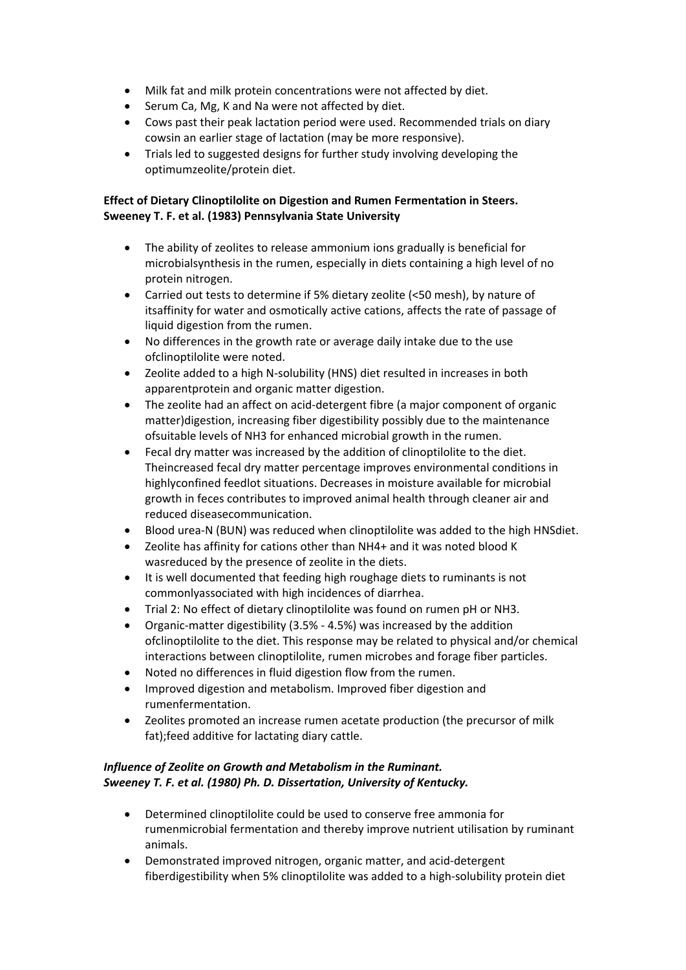- Milk fat and milk protein concentrations were not affected by diet.
- Serum Ca, Mg, K and Na were not affected by diet.
- Cows past their peak lactation period were used. Recommended trials on diary cowsin an earlier stage of lactation (may be more responsive).
- Trials led to suggested designs for further study involving developing the optimumzeolite/protein diet.

### **Effect of Dietary Clinoptilolite on Digestion and Rumen Fermentation in Steers. Sweeney T. F. et al. (1983) Pennsylvania State University**

- The ability of zeolites to release ammonium ions gradually is beneficial for microbialsynthesis in the rumen, especially in diets containing a high level of no protein nitrogen.
- Carried out tests to determine if 5% dietary zeolite (<50 mesh), by nature of itsaffinity for water and osmotically active cations, affects the rate of passage of liquid digestion from the rumen.
- No differences in the growth rate or average daily intake due to the use ofclinoptilolite were noted.
- Zeolite added to a high N-solubility (HNS) diet resulted in increases in both apparentprotein and organic matter digestion.
- The zeolite had an affect on acid-detergent fibre (a major component of organic matter)digestion, increasing fiber digestibility possibly due to the maintenance ofsuitable levels of NH3 for enhanced microbial growth in the rumen.
- Fecal dry matter was increased by the addition of clinoptilolite to the diet. Theincreased fecal dry matter percentage improves environmental conditions in highlyconfined feedlot situations. Decreases in moisture available for microbial growth in feces contributes to improved animal health through cleaner air and reduced diseasecommunication.
- Blood urea-N (BUN) was reduced when clinoptilolite was added to the high HNSdiet.
- Zeolite has affinity for cations other than NH4+ and it was noted blood K wasreduced by the presence of zeolite in the diets.
- It is well documented that feeding high roughage diets to ruminants is not commonlyassociated with high incidences of diarrhea.
- Trial 2: No effect of dietary clinoptilolite was found on rumen pH or NH3.
- Organic-matter digestibility (3.5% 4.5%) was increased by the addition ofclinoptilolite to the diet. This response may be related to physical and/or chemical interactions between clinoptilolite, rumen microbes and forage fiber particles.
- Noted no differences in fluid digestion flow from the rumen.
- Improved digestion and metabolism. Improved fiber digestion and rumenfermentation.
- Zeolites promoted an increase rumen acetate production (the precursor of milk fat);feed additive for lactating diary cattle.

# *Influence of Zeolite on Growth and Metabolism in the Ruminant. Sweeney T. F. et al. (1980) Ph. D. Dissertation, University of Kentucky.*

- Determined clinoptilolite could be used to conserve free ammonia for rumenmicrobial fermentation and thereby improve nutrient utilisation by ruminant animals.
- Demonstrated improved nitrogen, organic matter, and acid-detergent fiberdigestibility when 5% clinoptilolite was added to a high-solubility protein diet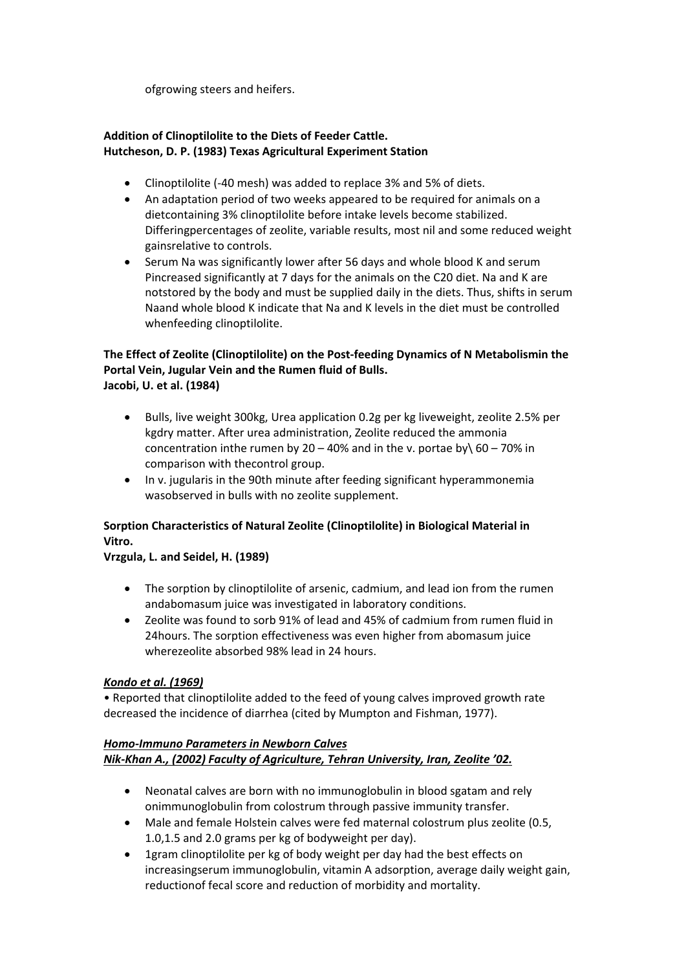ofgrowing steers and heifers.

### **Addition of Clinoptilolite to the Diets of Feeder Cattle. Hutcheson, D. P. (1983) Texas Agricultural Experiment Station**

- Clinoptilolite (-40 mesh) was added to replace 3% and 5% of diets.
- An adaptation period of two weeks appeared to be required for animals on a dietcontaining 3% clinoptilolite before intake levels become stabilized. Differingpercentages of zeolite, variable results, most nil and some reduced weight gainsrelative to controls.
- Serum Na was significantly lower after 56 days and whole blood K and serum Pincreased significantly at 7 days for the animals on the C20 diet. Na and K are notstored by the body and must be supplied daily in the diets. Thus, shifts in serum Naand whole blood K indicate that Na and K levels in the diet must be controlled whenfeeding clinoptilolite.

# **The Effect of Zeolite (Clinoptilolite) on the Post‐feeding Dynamics of N Metabolismin the Portal Vein, Jugular Vein and the Rumen fluid of Bulls. Jacobi, U. et al. (1984)**

- Bulls, live weight 300kg, Urea application 0.2g per kg liveweight, zeolite 2.5% per kgdry matter. After urea administration, Zeolite reduced the ammonia concentration inthe rumen by 20 – 40% and in the v. portae by  $60 - 70\%$  in comparison with thecontrol group.
- In v. jugularis in the 90th minute after feeding significant hyperammonemia wasobserved in bulls with no zeolite supplement.

# **Sorption Characteristics of Natural Zeolite (Clinoptilolite) in Biological Material in Vitro.**

# **Vrzgula, L. and Seidel, H. (1989)**

- The sorption by clinoptilolite of arsenic, cadmium, and lead ion from the rumen andabomasum juice was investigated in laboratory conditions.
- Zeolite was found to sorb 91% of lead and 45% of cadmium from rumen fluid in 24hours. The sorption effectiveness was even higher from abomasum juice wherezeolite absorbed 98% lead in 24 hours.

#### *Kondo et al. (1969)*

• Reported that clinoptilolite added to the feed of young calves improved growth rate decreased the incidence of diarrhea (cited by Mumpton and Fishman, 1977).

#### *Homo‐Immuno Parameters in Newborn Calves Nik‐Khan A., (2002) Faculty of Agriculture, Tehran University, Iran, Zeolite '02.*

- Neonatal calves are born with no immunoglobulin in blood sgatam and rely onimmunoglobulin from colostrum through passive immunity transfer.
- Male and female Holstein calves were fed maternal colostrum plus zeolite (0.5, 1.0,1.5 and 2.0 grams per kg of bodyweight per day).
- 1gram clinoptilolite per kg of body weight per day had the best effects on increasingserum immunoglobulin, vitamin A adsorption, average daily weight gain, reductionof fecal score and reduction of morbidity and mortality.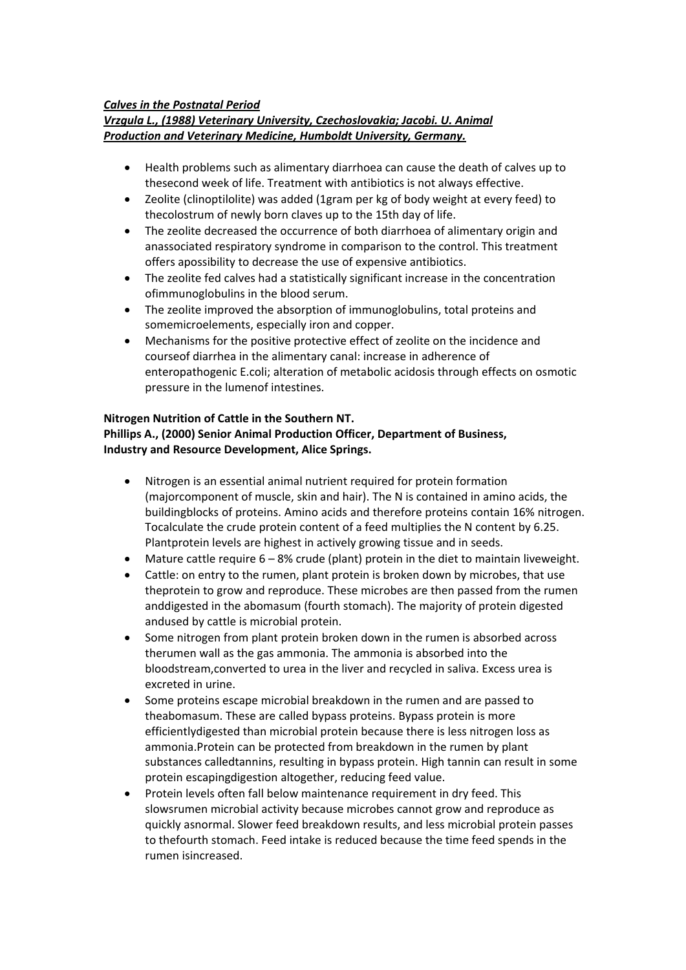#### *Calves in the Postnatal Period*

#### *Vrzgula L., (1988) Veterinary University, Czechoslovakia; Jacobi. U. Animal Production and Veterinary Medicine, Humboldt University, Germany.*

- Health problems such as alimentary diarrhoea can cause the death of calves up to thesecond week of life. Treatment with antibiotics is not always effective.
- Zeolite (clinoptilolite) was added (1gram per kg of body weight at every feed) to thecolostrum of newly born claves up to the 15th day of life.
- The zeolite decreased the occurrence of both diarrhoea of alimentary origin and anassociated respiratory syndrome in comparison to the control. This treatment offers apossibility to decrease the use of expensive antibiotics.
- The zeolite fed calves had a statistically significant increase in the concentration ofimmunoglobulins in the blood serum.
- The zeolite improved the absorption of immunoglobulins, total proteins and somemicroelements, especially iron and copper.
- Mechanisms for the positive protective effect of zeolite on the incidence and courseof diarrhea in the alimentary canal: increase in adherence of enteropathogenic E.coli; alteration of metabolic acidosis through effects on osmotic pressure in the lumenof intestines.

#### **Nitrogen Nutrition of Cattle in the Southern NT.**

# **Phillips A., (2000) Senior Animal Production Officer, Department of Business, Industry and Resource Development, Alice Springs.**

- Nitrogen is an essential animal nutrient required for protein formation (majorcomponent of muscle, skin and hair). The N is contained in amino acids, the buildingblocks of proteins. Amino acids and therefore proteins contain 16% nitrogen. Tocalculate the crude protein content of a feed multiplies the N content by 6.25. Plantprotein levels are highest in actively growing tissue and in seeds.
- Mature cattle require  $6 8%$  crude (plant) protein in the diet to maintain liveweight.
- Cattle: on entry to the rumen, plant protein is broken down by microbes, that use theprotein to grow and reproduce. These microbes are then passed from the rumen anddigested in the abomasum (fourth stomach). The majority of protein digested andused by cattle is microbial protein.
- Some nitrogen from plant protein broken down in the rumen is absorbed across therumen wall as the gas ammonia. The ammonia is absorbed into the bloodstream,converted to urea in the liver and recycled in saliva. Excess urea is excreted in urine.
- Some proteins escape microbial breakdown in the rumen and are passed to theabomasum. These are called bypass proteins. Bypass protein is more efficientlydigested than microbial protein because there is less nitrogen loss as ammonia.Protein can be protected from breakdown in the rumen by plant substances calledtannins, resulting in bypass protein. High tannin can result in some protein escapingdigestion altogether, reducing feed value.
- Protein levels often fall below maintenance requirement in dry feed. This slowsrumen microbial activity because microbes cannot grow and reproduce as quickly asnormal. Slower feed breakdown results, and less microbial protein passes to thefourth stomach. Feed intake is reduced because the time feed spends in the rumen isincreased.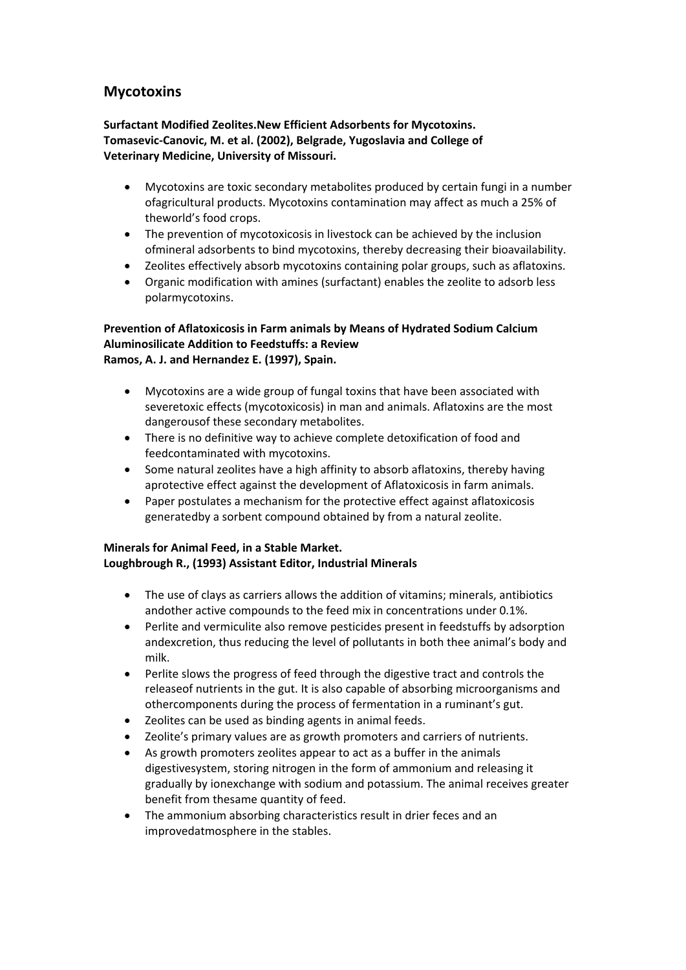# **Mycotoxins**

**Surfactant Modified Zeolites.New Efficient Adsorbents for Mycotoxins. Tomasevic‐Canovic, M. et al. (2002), Belgrade, Yugoslavia and College of Veterinary Medicine, University of Missouri.**

- Mycotoxins are toxic secondary metabolites produced by certain fungi in a number ofagricultural products. Mycotoxins contamination may affect as much a 25% of theworld's food crops.
- The prevention of mycotoxicosis in livestock can be achieved by the inclusion ofmineral adsorbents to bind mycotoxins, thereby decreasing their bioavailability.
- Zeolites effectively absorb mycotoxins containing polar groups, such as aflatoxins.
- Organic modification with amines (surfactant) enables the zeolite to adsorb less polarmycotoxins.

# **Prevention of Aflatoxicosis in Farm animals by Means of Hydrated Sodium Calcium Aluminosilicate Addition to Feedstuffs: a Review Ramos, A. J. and Hernandez E. (1997), Spain.**

- Mycotoxins are a wide group of fungal toxins that have been associated with severetoxic effects (mycotoxicosis) in man and animals. Aflatoxins are the most dangerousof these secondary metabolites.
- There is no definitive way to achieve complete detoxification of food and feedcontaminated with mycotoxins.
- Some natural zeolites have a high affinity to absorb aflatoxins, thereby having aprotective effect against the development of Aflatoxicosis in farm animals.
- Paper postulates a mechanism for the protective effect against aflatoxicosis generatedby a sorbent compound obtained by from a natural zeolite.

#### **Minerals for Animal Feed, in a Stable Market. Loughbrough R., (1993) Assistant Editor, Industrial Minerals**

- The use of clays as carriers allows the addition of vitamins; minerals, antibiotics andother active compounds to the feed mix in concentrations under 0.1%.
- Perlite and vermiculite also remove pesticides present in feedstuffs by adsorption andexcretion, thus reducing the level of pollutants in both thee animal's body and milk.
- Perlite slows the progress of feed through the digestive tract and controls the releaseof nutrients in the gut. It is also capable of absorbing microorganisms and othercomponents during the process of fermentation in a ruminant's gut.
- Zeolites can be used as binding agents in animal feeds.
- Zeolite's primary values are as growth promoters and carriers of nutrients.
- As growth promoters zeolites appear to act as a buffer in the animals digestivesystem, storing nitrogen in the form of ammonium and releasing it gradually by ionexchange with sodium and potassium. The animal receives greater benefit from thesame quantity of feed.
- The ammonium absorbing characteristics result in drier feces and an improvedatmosphere in the stables.